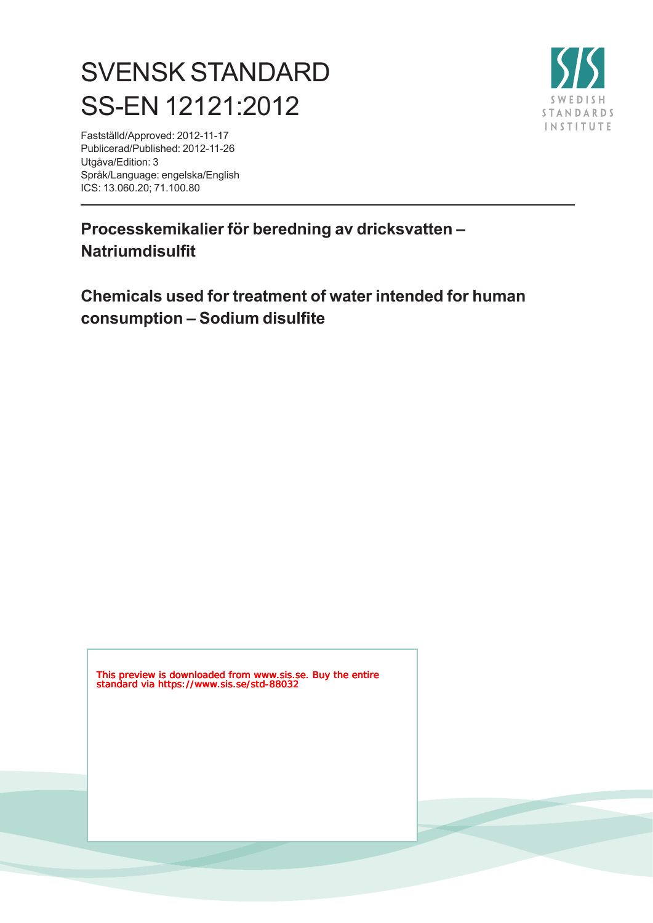# SVENSK STANDARD SS-EN 12121:2012



Fastställd/Approved: 2012-11-17 Publicerad/Published: 2012-11-26 Utgåva/Edition: 3 Språk/Language: engelska/English ICS: 13.060.20; 71.100.80

**Processkemikalier för beredning av dricksvatten – Natriumdisulfit**

**Chemicals used for treatment of water intended for human consumption – Sodium disulfite**

This preview is downloaded from www.sis.se. Buy the entire standard via https://www.sis.se/std-88032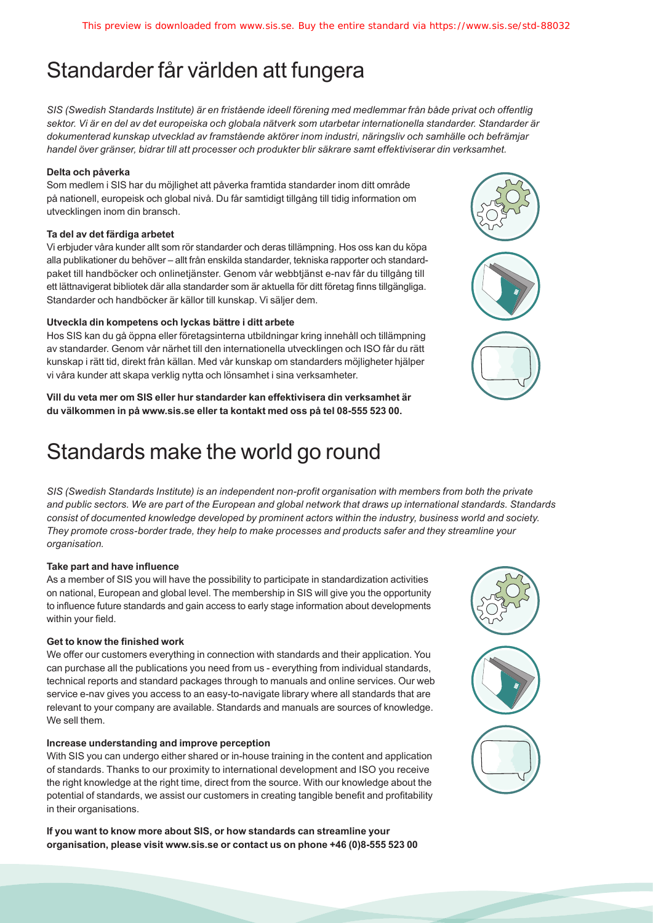## Standarder får världen att fungera

*SIS (Swedish Standards Institute) är en fristående ideell förening med medlemmar från både privat och offentlig sektor. Vi är en del av det europeiska och globala nätverk som utarbetar internationella standarder. Standarder är dokumenterad kunskap utvecklad av framstående aktörer inom industri, näringsliv och samhälle och befrämjar handel över gränser, bidrar till att processer och produkter blir säkrare samt effektiviserar din verksamhet.* 

#### **Delta och påverka**

Som medlem i SIS har du möjlighet att påverka framtida standarder inom ditt område på nationell, europeisk och global nivå. Du får samtidigt tillgång till tidig information om utvecklingen inom din bransch.

#### **Ta del av det färdiga arbetet**

Vi erbjuder våra kunder allt som rör standarder och deras tillämpning. Hos oss kan du köpa alla publikationer du behöver – allt från enskilda standarder, tekniska rapporter och standardpaket till handböcker och onlinetjänster. Genom vår webbtjänst e-nav får du tillgång till ett lättnavigerat bibliotek där alla standarder som är aktuella för ditt företag finns tillgängliga. Standarder och handböcker är källor till kunskap. Vi säljer dem.

#### **Utveckla din kompetens och lyckas bättre i ditt arbete**

Hos SIS kan du gå öppna eller företagsinterna utbildningar kring innehåll och tillämpning av standarder. Genom vår närhet till den internationella utvecklingen och ISO får du rätt kunskap i rätt tid, direkt från källan. Med vår kunskap om standarders möjligheter hjälper vi våra kunder att skapa verklig nytta och lönsamhet i sina verksamheter.

**Vill du veta mer om SIS eller hur standarder kan effektivisera din verksamhet är du välkommen in på www.sis.se eller ta kontakt med oss på tel 08-555 523 00.**

## Standards make the world go round

*SIS (Swedish Standards Institute) is an independent non-profit organisation with members from both the private and public sectors. We are part of the European and global network that draws up international standards. Standards consist of documented knowledge developed by prominent actors within the industry, business world and society. They promote cross-border trade, they help to make processes and products safer and they streamline your organisation.*

#### **Take part and have influence**

As a member of SIS you will have the possibility to participate in standardization activities on national, European and global level. The membership in SIS will give you the opportunity to influence future standards and gain access to early stage information about developments within your field.

#### **Get to know the finished work**

We offer our customers everything in connection with standards and their application. You can purchase all the publications you need from us - everything from individual standards, technical reports and standard packages through to manuals and online services. Our web service e-nav gives you access to an easy-to-navigate library where all standards that are relevant to your company are available. Standards and manuals are sources of knowledge. We sell them.

#### **Increase understanding and improve perception**

With SIS you can undergo either shared or in-house training in the content and application of standards. Thanks to our proximity to international development and ISO you receive the right knowledge at the right time, direct from the source. With our knowledge about the potential of standards, we assist our customers in creating tangible benefit and profitability in their organisations.

**If you want to know more about SIS, or how standards can streamline your organisation, please visit www.sis.se or contact us on phone +46 (0)8-555 523 00**



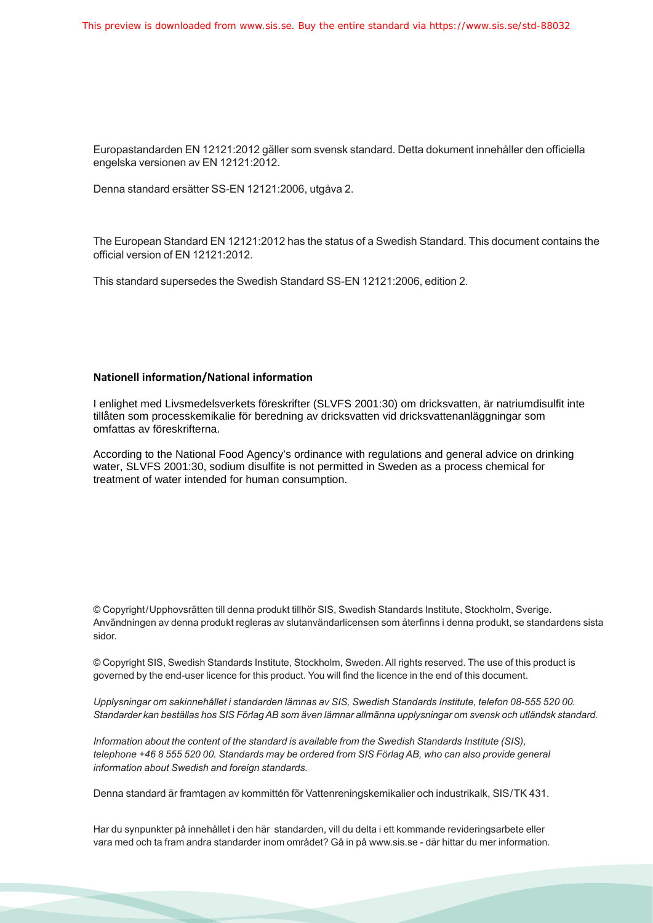Europastandarden EN 12121:2012 gäller som svensk standard. Detta dokument innehåller den officiella engelska versionen av EN 12121:2012.

Denna standard ersätter SS-EN 12121:2006, utgåva 2.

The European Standard EN 12121:2012 has the status of a Swedish Standard. This document contains the official version of EN 12121:2012.

This standard supersedes the Swedish Standard SS-EN 12121:2006, edition 2.

#### **Nationell information/National information**

I enlighet med Livsmedelsverkets föreskrifter (SLVFS 2001:30) om dricksvatten, är natriumdisulfit inte tillåten som processkemikalie för beredning av dricksvatten vid dricksvattenanläggningar som omfattas av föreskrifterna.

According to the National Food Agency's ordinance with regulations and general advice on drinking water, SLVFS 2001:30, sodium disulfite is not permitted in Sweden as a process chemical for treatment of water intended for human consumption.

© Copyright / Upphovsrätten till denna produkt tillhör SIS, Swedish Standards Institute, Stockholm, Sverige. Användningen av denna produkt regleras av slutanvändarlicensen som återfinns i denna produkt, se standardens sista sidor.

© Copyright SIS, Swedish Standards Institute, Stockholm, Sweden. All rights reserved. The use of this product is governed by the end-user licence for this product. You will find the licence in the end of this document.

*Upplysningar om sakinnehållet i standarden lämnas av SIS, Swedish Standards Institute, telefon 08-555 520 00. Standarder kan beställas hos SIS Förlag AB som även lämnar allmänna upplysningar om svensk och utländsk standard.*

*Information about the content of the standard is available from the Swedish Standards Institute (SIS), telephone +46 8 555 520 00. Standards may be ordered from SIS Förlag AB, who can also provide general information about Swedish and foreign standards.*

Denna standard är framtagen av kommittén för Vattenreningskemikalier och industrikalk, SIS / TK 431.

Har du synpunkter på innehållet i den här standarden, vill du delta i ett kommande revideringsarbete eller vara med och ta fram andra standarder inom området? Gå in på www.sis.se - där hittar du mer information.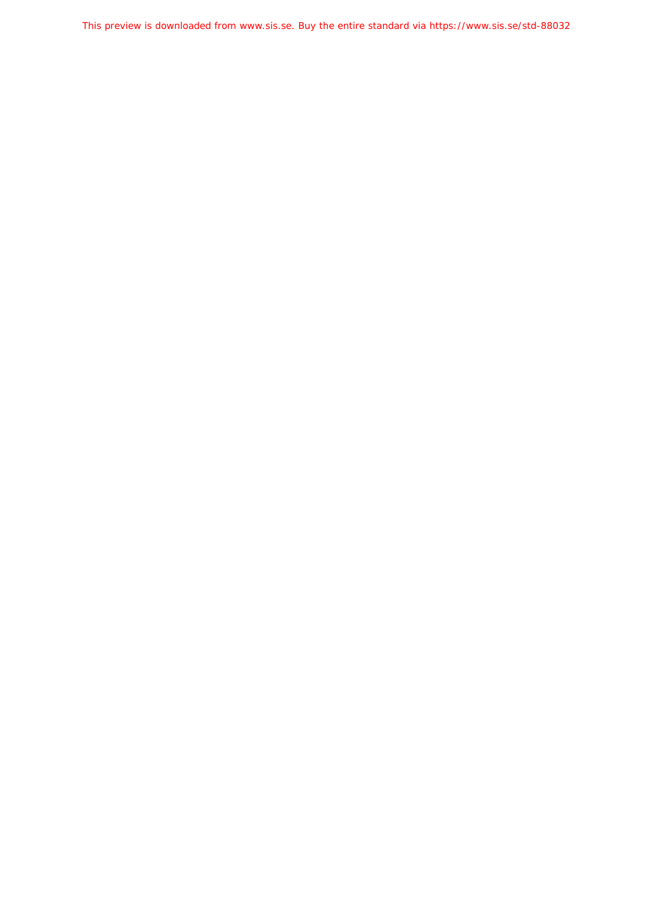This preview is downloaded from www.sis.se. Buy the entire standard via https://www.sis.se/std-88032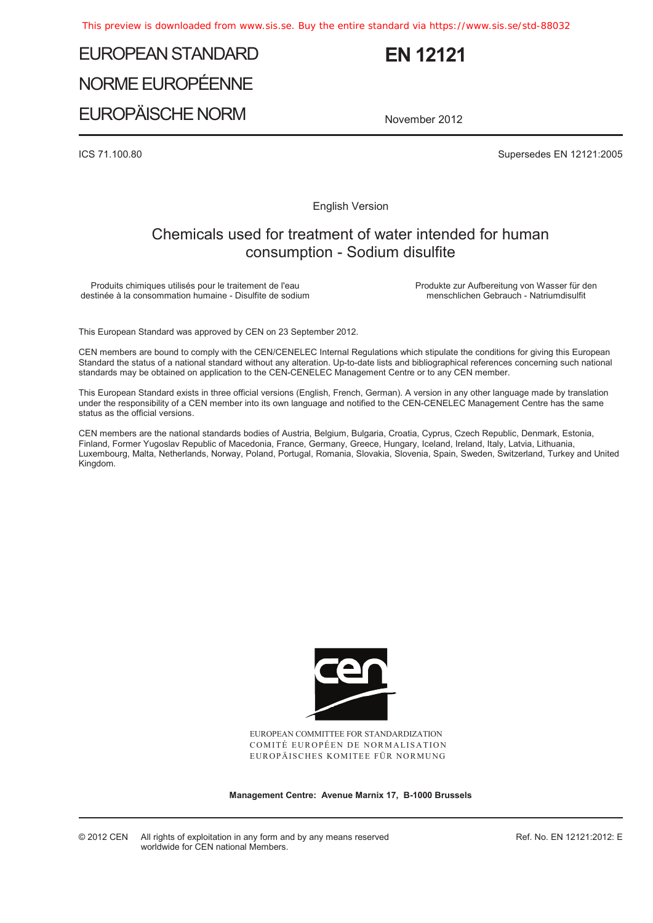## EUROPEAN STANDARD NORME EUROPÉENNE EUROPÄISCHE NORM

## **EN 12121**

November 2012

ICS 71.100.80 Supersedes EN 12121:2005

English Version

### Chemicals used for treatment of water intended for human consumption - Sodium disulfite

Produits chimiques utilisés pour le traitement de l'eau destinée à la consommation humaine - Disulfite de sodium Produkte zur Aufbereitung von Wasser für den menschlichen Gebrauch - Natriumdisulfit

This European Standard was approved by CEN on 23 September 2012.

CEN members are bound to comply with the CEN/CENELEC Internal Regulations which stipulate the conditions for giving this European Standard the status of a national standard without any alteration. Up-to-date lists and bibliographical references concerning such national standards may be obtained on application to the CEN-CENELEC Management Centre or to any CEN member.

This European Standard exists in three official versions (English, French, German). A version in any other language made by translation under the responsibility of a CEN member into its own language and notified to the CEN-CENELEC Management Centre has the same status as the official versions.

CEN members are the national standards bodies of Austria, Belgium, Bulgaria, Croatia, Cyprus, Czech Republic, Denmark, Estonia, Finland, Former Yugoslav Republic of Macedonia, France, Germany, Greece, Hungary, Iceland, Ireland, Italy, Latvia, Lithuania, Luxembourg, Malta, Netherlands, Norway, Poland, Portugal, Romania, Slovakia, Slovenia, Spain, Sweden, Switzerland, Turkey and United Kingdom.



EUROPEAN COMMITTEE FOR STANDARDIZATION COMITÉ EUROPÉEN DE NORMALISATION EUROPÄISCHES KOMITEE FÜR NORMUNG

**Management Centre: Avenue Marnix 17, B-1000 Brussels**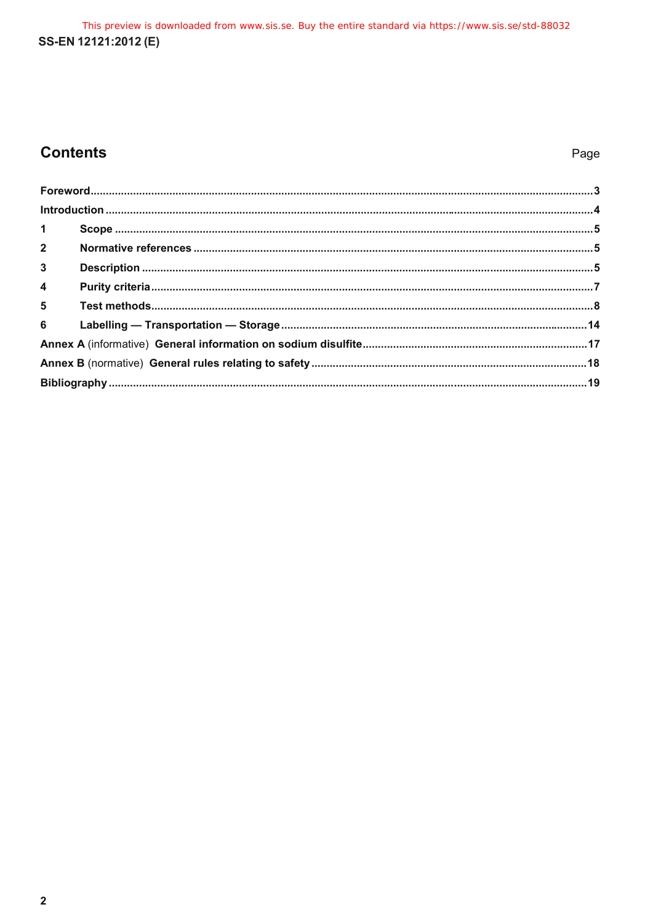This preview is downloaded from www.sis.se. Buy the entire standard via https://www.sis.se/std-88032 SS-EN 12121:2012 (E)

## **Contents**

## Page

| 1 <sup>1</sup> |  |  |
|----------------|--|--|
| $\overline{2}$ |  |  |
| 3 <sup>7</sup> |  |  |
| $\overline{4}$ |  |  |
| 5 <sup>1</sup> |  |  |
|                |  |  |
|                |  |  |
|                |  |  |
|                |  |  |
|                |  |  |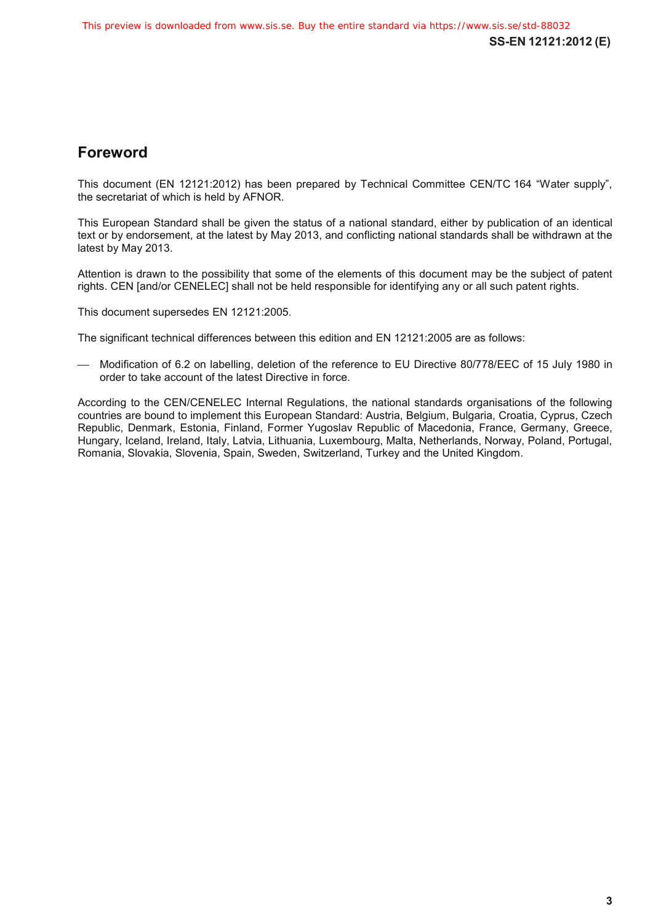## **Foreword**

This document (EN 12121:2012) has been prepared by Technical Committee CEN/TC 164 "Water supply", the secretariat of which is held by AFNOR.

This European Standard shall be given the status of a national standard, either by publication of an identical text or by endorsement, at the latest by May 2013, and conflicting national standards shall be withdrawn at the latest by May 2013.

Attention is drawn to the possibility that some of the elements of this document may be the subject of patent rights. CEN [and/or CENELEC] shall not be held responsible for identifying any or all such patent rights.

This document supersedes EN 12121:2005.

The significant technical differences between this edition and EN 12121:2005 are as follows:

 Modification of 6.2 on labelling, deletion of the reference to EU Directive 80/778/EEC of 15 July 1980 in order to take account of the latest Directive in force.

According to the CEN/CENELEC Internal Regulations, the national standards organisations of the following countries are bound to implement this European Standard: Austria, Belgium, Bulgaria, Croatia, Cyprus, Czech Republic, Denmark, Estonia, Finland, Former Yugoslav Republic of Macedonia, France, Germany, Greece, Hungary, Iceland, Ireland, Italy, Latvia, Lithuania, Luxembourg, Malta, Netherlands, Norway, Poland, Portugal, Romania, Slovakia, Slovenia, Spain, Sweden, Switzerland, Turkey and the United Kingdom.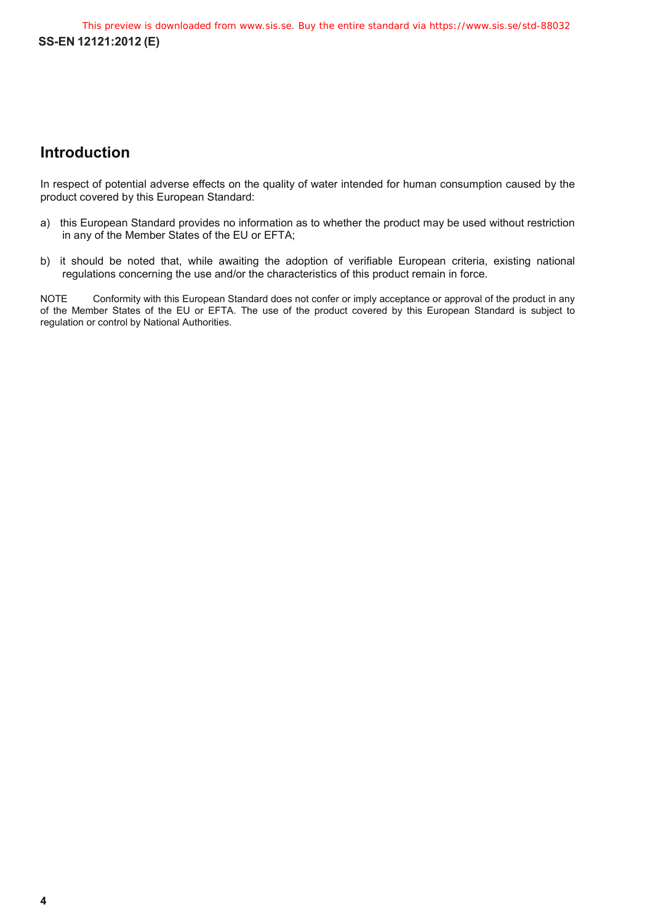## **Introduction**

In respect of potential adverse effects on the quality of water intended for human consumption caused by the product covered by this European Standard:

- a) this European Standard provides no information as to whether the product may be used without restriction in any of the Member States of the EU or EFTA;
- b) it should be noted that, while awaiting the adoption of verifiable European criteria, existing national regulations concerning the use and/or the characteristics of this product remain in force.

NOTE Conformity with this European Standard does not confer or imply acceptance or approval of the product in any of the Member States of the EU or EFTA. The use of the product covered by this European Standard is subject to regulation or control by National Authorities.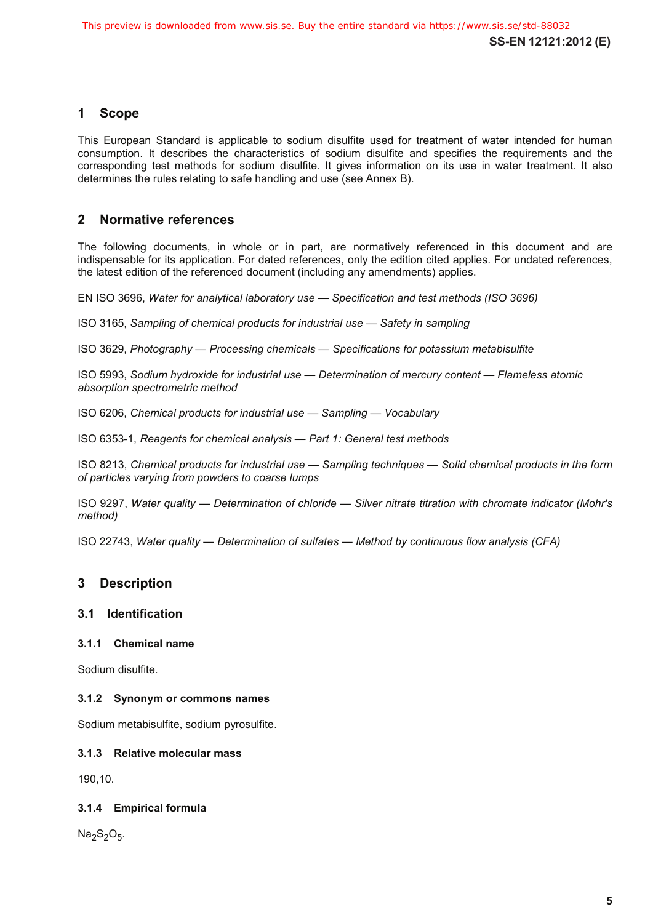#### **1 Scope**

This European Standard is applicable to sodium disulfite used for treatment of water intended for human consumption. It describes the characteristics of sodium disulfite and specifies the requirements and the corresponding test methods for sodium disulfite. It gives information on its use in water treatment. It also determines the rules relating to safe handling and use (see Annex B).

### **2 Normative references**

The following documents, in whole or in part, are normatively referenced in this document and are indispensable for its application. For dated references, only the edition cited applies. For undated references, the latest edition of the referenced document (including any amendments) applies.

EN ISO 3696, *Water for analytical laboratory use — Specification and test methods (ISO 3696)*

ISO 3165, *Sampling of chemical products for industrial use — Safety in sampling*

ISO 3629, *Photography — Processing chemicals — Specifications for potassium metabisulfite*

ISO 5993, *Sodium hydroxide for industrial use — Determination of mercury content — Flameless atomic absorption spectrometric method* 

ISO 6206, *Chemical products for industrial use — Sampling — Vocabulary* 

ISO 6353-1, *Reagents for chemical analysis — Part 1: General test methods* 

ISO 8213, *Chemical products for industrial use — Sampling techniques — Solid chemical products in the form of particles varying from powders to coarse lumps*

ISO 9297, *Water quality — Determination of chloride — Silver nitrate titration with chromate indicator (Mohr's method)* 

ISO 22743, *Water quality — Determination of sulfates — Method by continuous flow analysis (CFA)*

#### **3 Description**

#### **3.1 Identification**

#### **3.1.1 Chemical name**

Sodium disulfite.

#### **3.1.2 Synonym or commons names**

Sodium metabisulfite, sodium pyrosulfite.

#### **3.1.3 Relative molecular mass**

190,10.

#### **3.1.4 Empirical formula**

 $Na<sub>2</sub>S<sub>2</sub>O<sub>5</sub>$ .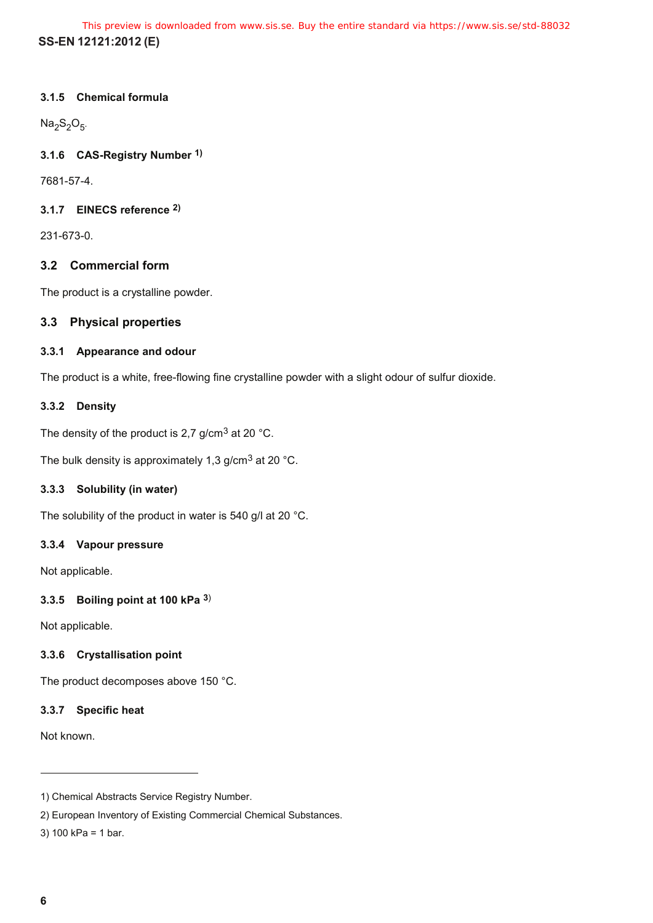**EN 12121:2012 (E) SS-EN 12121:2012 (E)** This preview is downloaded from www.sis.se. Buy the entire standard via https://www.sis.se/std-88032

#### **3.1.5 Chemical formula**

 $Na<sub>2</sub>S<sub>2</sub>O<sub>5</sub>$ 

#### **3.1.6 CAS-Registry Number 1)**

7681-57-4.

#### **3.1.7 EINECS reference 2)**

231-673-0.

#### **3.2 Commercial form**

The product is a crystalline powder.

#### **3.3 Physical properties**

#### **3.3.1 Appearance and odour**

The product is a white, free-flowing fine crystalline powder with a slight odour of sulfur dioxide.

#### **3.3.2 Density**

The density of the product is 2,7 g/cm<sup>3</sup> at 20  $^{\circ}$ C.

The bulk density is approximately 1,3 g/cm<sup>3</sup> at 20 °C.

#### **3.3.3 Solubility (in water)**

The solubility of the product in water is 540 g/l at 20 °C.

#### **3.3.4 Vapour pressure**

Not applicable.

#### **3.3.5 Boiling point at 100 kPa 3**)

Not applicable.

#### **3.3.6 Crystallisation point**

The product decomposes above 150 °C.

#### **3.3.7 Specific heat**

Not known.

-

<sup>1)</sup> Chemical Abstracts Service Registry Number.

<sup>2)</sup> European Inventory of Existing Commercial Chemical Substances.

<sup>3)</sup> 100 kPa = 1 bar.